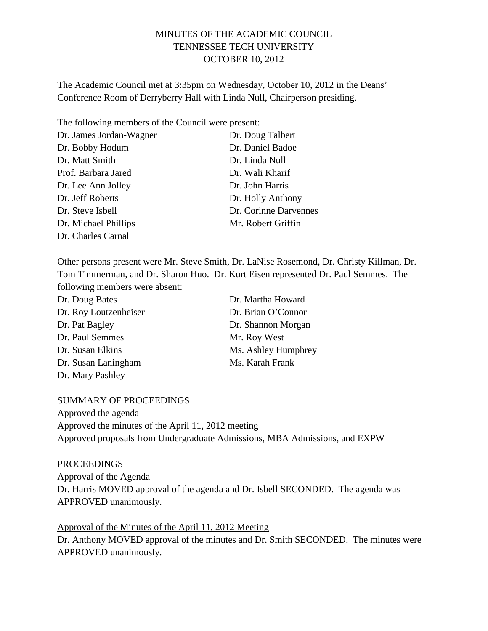# MINUTES OF THE ACADEMIC COUNCIL TENNESSEE TECH UNIVERSITY OCTOBER 10, 2012

The Academic Council met at 3:35pm on Wednesday, October 10, 2012 in the Deans' Conference Room of Derryberry Hall with Linda Null, Chairperson presiding.

The following members of the Council were present:

| Dr. James Jordan-Wagner | Dr. Doug Talbert      |
|-------------------------|-----------------------|
| Dr. Bobby Hodum         | Dr. Daniel Badoe      |
| Dr. Matt Smith          | Dr. Linda Null        |
| Prof. Barbara Jared     | Dr. Wali Kharif       |
| Dr. Lee Ann Jolley      | Dr. John Harris       |
| Dr. Jeff Roberts        | Dr. Holly Anthony     |
| Dr. Steve Isbell        | Dr. Corinne Darvennes |
| Dr. Michael Phillips    | Mr. Robert Griffin    |
| Dr. Charles Carnal      |                       |

Other persons present were Mr. Steve Smith, Dr. LaNise Rosemond, Dr. Christy Killman, Dr. Tom Timmerman, and Dr. Sharon Huo. Dr. Kurt Eisen represented Dr. Paul Semmes. The following members were absent:

| Dr. Doug Bates        | Dr. Martha Howard   |
|-----------------------|---------------------|
| Dr. Roy Loutzenheiser | Dr. Brian O'Connor  |
| Dr. Pat Bagley        | Dr. Shannon Morgan  |
| Dr. Paul Semmes       | Mr. Roy West        |
| Dr. Susan Elkins      | Ms. Ashley Humphrey |
| Dr. Susan Laningham   | Ms. Karah Frank     |
| Dr. Mary Pashley      |                     |

### SUMMARY OF PROCEEDINGS

Approved the agenda Approved the minutes of the April 11, 2012 meeting Approved proposals from Undergraduate Admissions, MBA Admissions, and EXPW

#### PROCEEDINGS

Approval of the Agenda Dr. Harris MOVED approval of the agenda and Dr. Isbell SECONDED. The agenda was APPROVED unanimously.

Approval of the Minutes of the April 11, 2012 Meeting Dr. Anthony MOVED approval of the minutes and Dr. Smith SECONDED. The minutes were APPROVED unanimously.